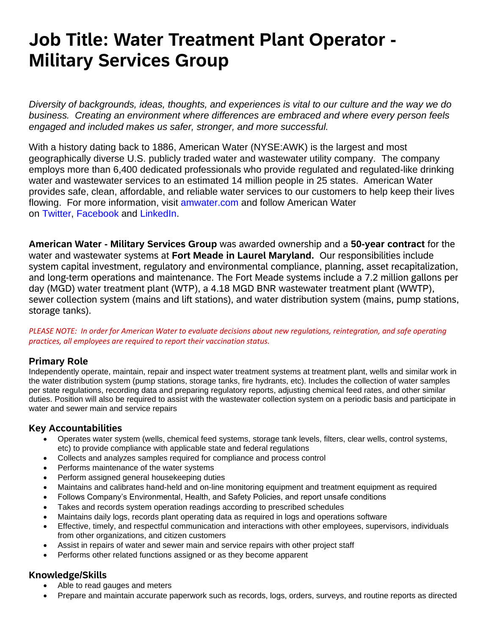# **Job Title: Water Treatment Plant Operator - Military Services Group**

*Diversity of backgrounds, ideas, thoughts, and experiences is vital to our culture and the way we do business. Creating an environment where differences are embraced and where every person feels engaged and included makes us safer, stronger, and more successful.*

With a history dating back to 1886, American Water (NYSE:AWK) is the largest and most geographically diverse U.S. publicly traded water and wastewater utility company. The company employs more than 6,400 dedicated professionals who provide regulated and regulated-like drinking water and wastewater services to an estimated 14 million people in 25 states. American Water provides safe, clean, affordable, and reliable water services to our customers to help keep their lives flowing. For more information, visit [amwater.com](javascript:void(0);) and follow American Water on [Twitter,](javascript:void(0);) [Facebook](javascript:void(0);) and [LinkedIn.](javascript:void(0);)

**American Water - Military Services Group** was awarded ownership and a **50-year contract** for the water and wastewater systems at **Fort Meade in Laurel Maryland.** Our responsibilities include system capital investment, regulatory and environmental compliance, planning, asset recapitalization, and long-term operations and maintenance. The Fort Meade systems include a 7.2 million gallons per day (MGD) water treatment plant (WTP), a 4.18 MGD BNR wastewater treatment plant (WWTP), sewer collection system (mains and lift stations), and water distribution system (mains, pump stations, storage tanks).

*PLEASE NOTE: In order for American Water to evaluate decisions about new regulations, reintegration, and safe operating practices, all employees are required to report their vaccination status.*

### **Primary Role**

Independently operate, maintain, repair and inspect water treatment systems at treatment plant, wells and similar work in the water distribution system (pump stations, storage tanks, fire hydrants, etc). Includes the collection of water samples per state regulations, recording data and preparing regulatory reports, adjusting chemical feed rates, and other similar duties. Position will also be required to assist with the wastewater collection system on a periodic basis and participate in water and sewer main and service repairs

## **Key Accountabilities**

- Operates water system (wells, chemical feed systems, storage tank levels, filters, clear wells, control systems, etc) to provide compliance with applicable state and federal regulations
- Collects and analyzes samples required for compliance and process control
- Performs maintenance of the water systems
- Perform assigned general housekeeping duties
- Maintains and calibrates hand-held and on-line monitoring equipment and treatment equipment as required
- Follows Company's Environmental, Health, and Safety Policies, and report unsafe conditions
- Takes and records system operation readings according to prescribed schedules
- Maintains daily logs, records plant operating data as required in logs and operations software
- Effective, timely, and respectful communication and interactions with other employees, supervisors, individuals from other organizations, and citizen customers
- Assist in repairs of water and sewer main and service repairs with other project staff
- Performs other related functions assigned or as they become apparent

### **Knowledge/Skills**

- Able to read gauges and meters
- Prepare and maintain accurate paperwork such as records, logs, orders, surveys, and routine reports as directed